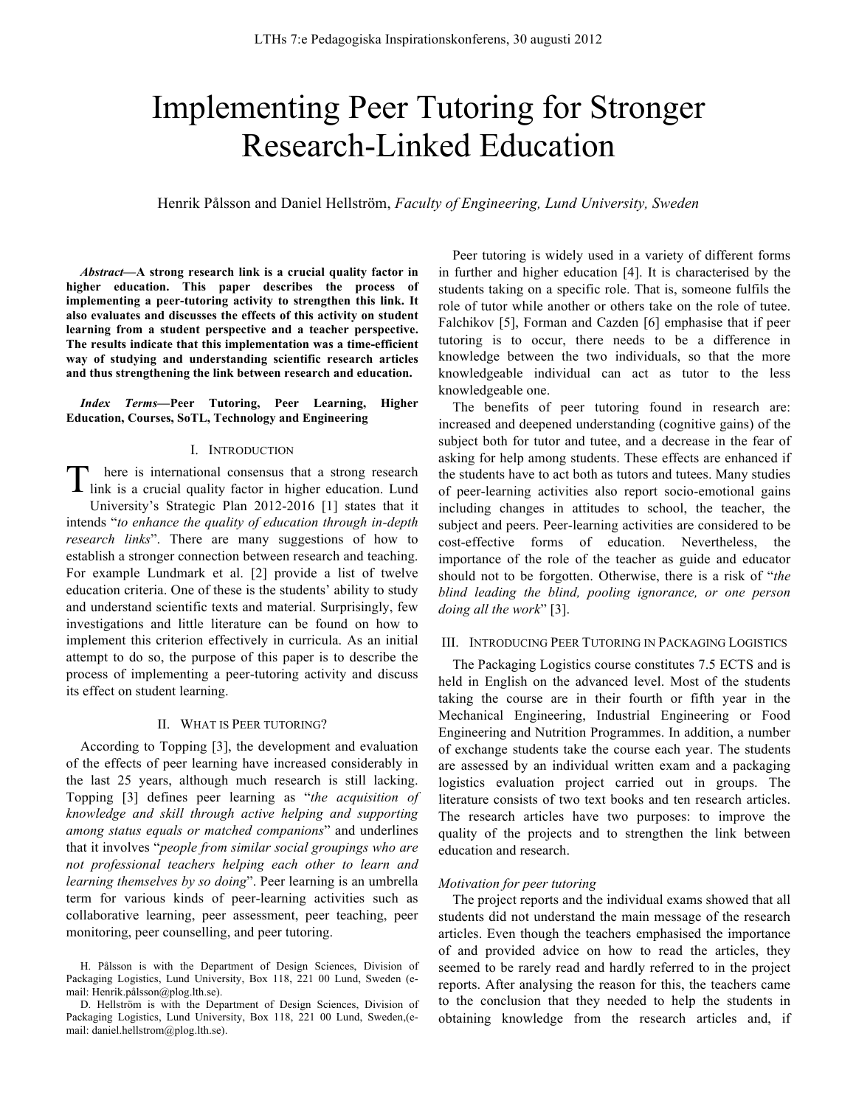# Implementing Peer Tutoring for Stronger Research-Linked Education

Henrik Pålsson and Daniel Hellström, *Faculty of Engineering, Lund University, Sweden*

*Abstract***—A strong research link is a crucial quality factor in higher education. This paper describes the process of implementing a peer-tutoring activity to strengthen this link. It also evaluates and discusses the effects of this activity on student learning from a student perspective and a teacher perspective. The results indicate that this implementation was a time-efficient way of studying and understanding scientific research articles and thus strengthening the link between research and education.**

*Index Terms***—Peer Tutoring, Peer Learning, Higher Education, Courses, SoTL, Technology and Engineering**

#### I. INTRODUCTION

here is international consensus that a strong research There is international consensus that a strong research link is a crucial quality factor in higher education. Lund University's Strategic Plan 2012-2016 [1] states that it intends "*to enhance the quality of education through in-depth research links*". There are many suggestions of how to establish a stronger connection between research and teaching. For example Lundmark et al. [2] provide a list of twelve education criteria. One of these is the students' ability to study and understand scientific texts and material. Surprisingly, few investigations and little literature can be found on how to implement this criterion effectively in curricula. As an initial attempt to do so, the purpose of this paper is to describe the process of implementing a peer-tutoring activity and discuss its effect on student learning.

#### II. WHAT IS PEER TUTORING?

According to Topping [3], the development and evaluation of the effects of peer learning have increased considerably in the last 25 years, although much research is still lacking. Topping [3] defines peer learning as "*the acquisition of knowledge and skill through active helping and supporting among status equals or matched companions*" and underlines that it involves "*people from similar social groupings who are not professional teachers helping each other to learn and learning themselves by so doing*". Peer learning is an umbrella term for various kinds of peer-learning activities such as collaborative learning, peer assessment, peer teaching, peer monitoring, peer counselling, and peer tutoring.

Peer tutoring is widely used in a variety of different forms in further and higher education [4]. It is characterised by the students taking on a specific role. That is, someone fulfils the role of tutor while another or others take on the role of tutee. Falchikov [5], Forman and Cazden [6] emphasise that if peer tutoring is to occur, there needs to be a difference in knowledge between the two individuals, so that the more knowledgeable individual can act as tutor to the less knowledgeable one.

The benefits of peer tutoring found in research are: increased and deepened understanding (cognitive gains) of the subject both for tutor and tutee, and a decrease in the fear of asking for help among students. These effects are enhanced if the students have to act both as tutors and tutees. Many studies of peer-learning activities also report socio-emotional gains including changes in attitudes to school, the teacher, the subject and peers. Peer-learning activities are considered to be cost-effective forms of education. Nevertheless, the importance of the role of the teacher as guide and educator should not to be forgotten. Otherwise, there is a risk of "*the blind leading the blind, pooling ignorance, or one person doing all the work*" [3].

## III. INTRODUCING PEER TUTORING IN PACKAGING LOGISTICS

The Packaging Logistics course constitutes 7.5 ECTS and is held in English on the advanced level. Most of the students taking the course are in their fourth or fifth year in the Mechanical Engineering, Industrial Engineering or Food Engineering and Nutrition Programmes. In addition, a number of exchange students take the course each year. The students are assessed by an individual written exam and a packaging logistics evaluation project carried out in groups. The literature consists of two text books and ten research articles. The research articles have two purposes: to improve the quality of the projects and to strengthen the link between education and research.

### *Motivation for peer tutoring*

The project reports and the individual exams showed that all students did not understand the main message of the research articles. Even though the teachers emphasised the importance of and provided advice on how to read the articles, they seemed to be rarely read and hardly referred to in the project reports. After analysing the reason for this, the teachers came to the conclusion that they needed to help the students in obtaining knowledge from the research articles and, if

H. Pålsson is with the Department of Design Sciences, Division of Packaging Logistics, Lund University, Box 118, 221 00 Lund, Sweden (email: Henrik.pålsson@plog.lth.se).

D. Hellström is with the Department of Design Sciences, Division of Packaging Logistics, Lund University, Box 118, 221 00 Lund, Sweden,(email: daniel.hellstrom@plog.lth.se).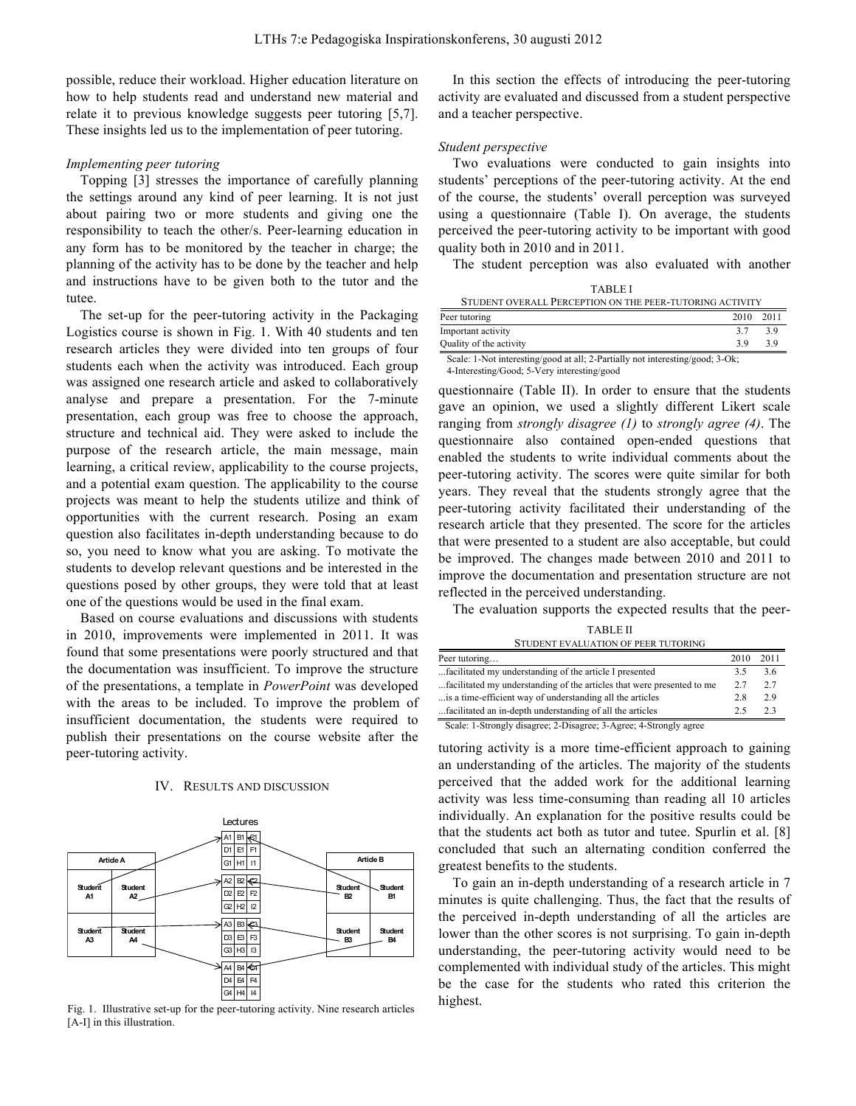possible, reduce their workload. Higher education literature on how to help students read and understand new material and relate it to previous knowledge suggests peer tutoring [5,7]. These insights led us to the implementation of peer tutoring.

## *Implementing peer tutoring*

Topping [3] stresses the importance of carefully planning the settings around any kind of peer learning. It is not just about pairing two or more students and giving one the responsibility to teach the other/s. Peer-learning education in any form has to be monitored by the teacher in charge; the planning of the activity has to be done by the teacher and help and instructions have to be given both to the tutor and the tutee.

The set-up for the peer-tutoring activity in the Packaging Logistics course is shown in Fig. 1. With 40 students and ten research articles they were divided into ten groups of four students each when the activity was introduced. Each group was assigned one research article and asked to collaboratively analyse and prepare a presentation. For the 7-minute presentation, each group was free to choose the approach, structure and technical aid. They were asked to include the purpose of the research article, the main message, main learning, a critical review, applicability to the course projects, and a potential exam question. The applicability to the course projects was meant to help the students utilize and think of opportunities with the current research. Posing an exam question also facilitates in-depth understanding because to do so, you need to know what you are asking. To motivate the students to develop relevant questions and be interested in the questions posed by other groups, they were told that at least one of the questions would be used in the final exam.

Based on course evaluations and discussions with students in 2010, improvements were implemented in 2011. It was found that some presentations were poorly structured and that the documentation was insufficient. To improve the structure of the presentations, a template in *PowerPoint* was developed with the areas to be included. To improve the problem of insufficient documentation, the students were required to publish their presentations on the course website after the peer-tutoring activity.

## IV. RESULTS AND DISCUSSION



Fig. 1. Illustrative set-up for the peer-tutoring activity. Nine research articles [A-I] in this illustration.

In this section the effects of introducing the peer-tutoring activity are evaluated and discussed from a student perspective and a teacher perspective.

## *Student perspective*

Two evaluations were conducted to gain insights into students' perceptions of the peer-tutoring activity. At the end of the course, the students' overall perception was surveyed using a questionnaire (Table I). On average, the students perceived the peer-tutoring activity to be important with good quality both in 2010 and in 2011.

The student perception was also evaluated with another

| <b>TABLEI</b>                                            |           |    |  |
|----------------------------------------------------------|-----------|----|--|
| STUDENT OVERALL PERCEPTION ON THE PEER-TUTORING ACTIVITY |           |    |  |
| Peer tutoring                                            | 2010 2011 |    |  |
| Important activity                                       | 37        | 39 |  |

Quality of the activity 3.9 3.9 3.9 Scale: 1-Not interesting/good at all; 2-Partially not interesting/good; 3-Ok;

4-Interesting/Good; 5-Very interesting/good

questionnaire (Table II). In order to ensure that the students gave an opinion, we used a slightly different Likert scale ranging from *strongly disagree (1)* to *strongly agree (4)*. The questionnaire also contained open-ended questions that enabled the students to write individual comments about the peer-tutoring activity. The scores were quite similar for both years. They reveal that the students strongly agree that the peer-tutoring activity facilitated their understanding of the research article that they presented. The score for the articles that were presented to a student are also acceptable, but could be improved. The changes made between 2010 and 2011 to improve the documentation and presentation structure are not reflected in the perceived understanding.

The evaluation supports the expected results that the peer-

TABLE II STUDENT EVALUATION OF PEER TUTORING

| Peer tutoring                                                          | 2010 | 2011 |
|------------------------------------------------------------------------|------|------|
| facilitated my understanding of the article I presented                | 35   | 36   |
| facilitated my understanding of the articles that were presented to me | 27   | 2.7  |
| is a time-efficient way of understanding all the articles              | 28   | 29   |
| facilitated an in-depth understanding of all the articles              | 25   | う 3  |

Scale: 1-Strongly disagree; 2-Disagree; 3-Agree; 4-Strongly agree

tutoring activity is a more time-efficient approach to gaining an understanding of the articles. The majority of the students perceived that the added work for the additional learning activity was less time-consuming than reading all 10 articles individually. An explanation for the positive results could be that the students act both as tutor and tutee. Spurlin et al. [8] concluded that such an alternating condition conferred the greatest benefits to the students.

To gain an in-depth understanding of a research article in 7 minutes is quite challenging. Thus, the fact that the results of the perceived in-depth understanding of all the articles are lower than the other scores is not surprising. To gain in-depth understanding, the peer-tutoring activity would need to be complemented with individual study of the articles. This might be the case for the students who rated this criterion the highest.